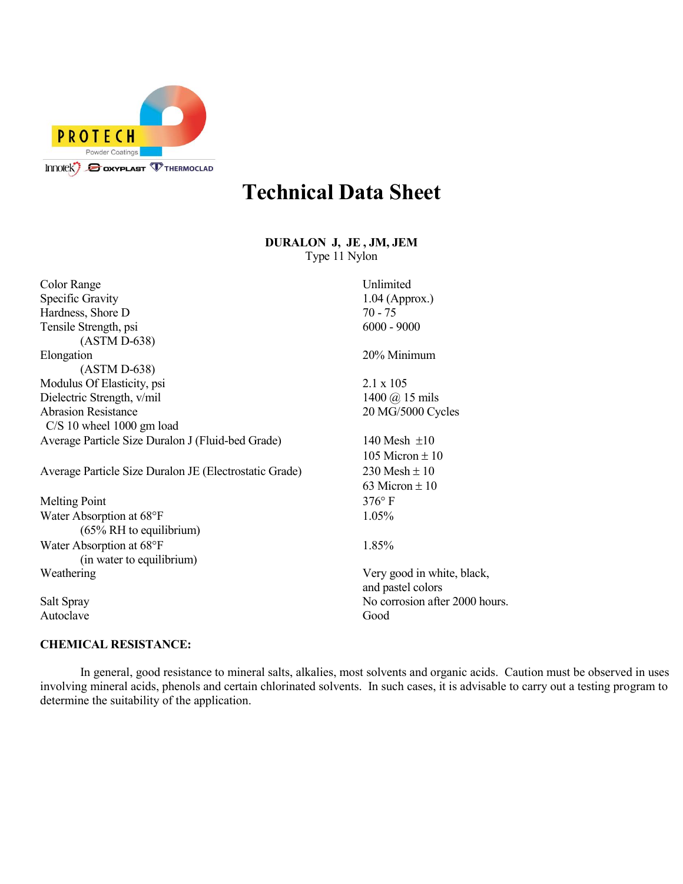

## **Technical Data Sheet**

**DURALON J, JE , JM, JEM** Type 11 Nylon

| <b>Color Range</b>                                     | Unlimited                                       |
|--------------------------------------------------------|-------------------------------------------------|
| <b>Specific Gravity</b>                                | $1.04$ (Approx.)                                |
| Hardness, Shore D                                      | $70 - 75$                                       |
| Tensile Strength, psi                                  | $6000 - 9000$                                   |
| $(ASTM D-638)$                                         |                                                 |
| Elongation                                             | 20% Minimum                                     |
| $(ASTM D-638)$                                         |                                                 |
| Modulus Of Elasticity, psi                             | $2.1 \times 105$                                |
| 1400 $(a)$ 15 mils<br>Dielectric Strength, v/mil       |                                                 |
| <b>Abrasion Resistance</b>                             | 20 MG/5000 Cycles                               |
| $C/S$ 10 wheel 1000 gm load                            |                                                 |
| Average Particle Size Duralon J (Fluid-bed Grade)      | 140 Mesh $\pm 10$                               |
|                                                        | 105 Micron $\pm$ 10                             |
| Average Particle Size Duralon JE (Electrostatic Grade) | 230 Mesh $\pm$ 10                               |
|                                                        | 63 Micron $\pm 10$                              |
| <b>Melting Point</b>                                   | $376^{\circ}$ F                                 |
| Water Absorption at 68°F                               | 1.05%                                           |
| $(65\% \text{ RH})$ to equilibrium)                    |                                                 |
| Water Absorption at 68°F                               | 1.85%                                           |
| (in water to equilibrium)                              |                                                 |
| Weathering                                             | Very good in white, black,<br>and pastel colors |
| Salt Spray                                             | No corrosion after 2000 hours.                  |
| Autoclave                                              | Good                                            |
|                                                        |                                                 |

## **CHEMICAL RESISTANCE:**

In general, good resistance to mineral salts, alkalies, most solvents and organic acids. Caution must be observed in uses involving mineral acids, phenols and certain chlorinated solvents. In such cases, it is advisable to carry out a testing program to determine the suitability of the application.